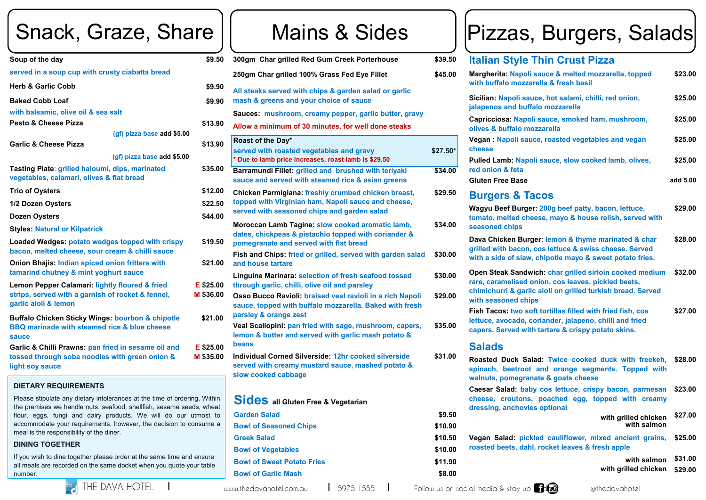**Vegan : Napoli saud cheese** 

**Pulled Lamb: Napoli red onion & feta** 

**Gluten Free Base** 

#### **Burgers & Ta**

**Wagyu Beef Burge** tomato, melted che **seasoned chips**

**Dava Chicken Burg** grilled with bacon, with a side of slaw.

**Open Steak Sandwich rare, caramelised only chimichurri & garlignants with seasoned chips**

**Fish Tacos: two sot lettuce, avocado, co capers. Served with** 

# Snack, Graze, Share

| sauce & melted mozzarella, topped<br>rella & fresh basil                                                                      | \$23.00  |
|-------------------------------------------------------------------------------------------------------------------------------|----------|
| ice, hot salami, chilli, red onion,<br>alo mozzarella                                                                         | \$25.00  |
| li sauce, smoked ham, mushroom,<br><b>pzzarella</b>                                                                           | \$25.00  |
| ce, roasted vegetables and vegan                                                                                              | \$25.00  |
| Ili sauce, slow cooked lamb, olives,                                                                                          | \$25.00  |
|                                                                                                                               | add 5.00 |
| <b>ACOS</b>                                                                                                                   |          |
| r: 200g beef patty, bacon, lettuce,<br>ese, mayo & house relish, served with                                                  | \$29.00  |
| ger: lemon & thyme marinated & char<br>cos lettuce & swiss cheese. Served<br>chipotle mayo & sweet potato fries.              | \$28.00  |
| ich: char grilled sirloin cooked medium<br>nion, cos leaves, pickled beets,<br>c aioli on grilled turkish bread. Served<br>ĴŚ | \$32.00  |
| ft tortillas filled with fried fish, cos<br>oriander, jalapeno, chilli and fried<br>h tartare & crispy potato skins.          | \$27.00  |
| ad: Twice cooked duck with freekeh,<br>and orange segments. Topped with<br>ate & goats cheese                                 | \$28.00  |
| y cos lettuce, crispy bacon, parmesan<br>poached egg, topped with creamy<br>s optional                                        | \$23.00  |
| with grilled chicken<br>with salmon                                                                                           | \$27.00  |
| led cauliflower, mixed ancient grains,<br>I, rocket leaves & fresh apple                                                      | \$25.00  |
| with salmon                                                                                                                   | \$31.00  |
| with grilled chicken                                                                                                          | \$29.00  |



| Soup of the day                                                                                                                               | \$9.50                 |
|-----------------------------------------------------------------------------------------------------------------------------------------------|------------------------|
| served in a soup cup with crusty ciabatta bread                                                                                               |                        |
| <b>Herb &amp; Garlic Cobb</b>                                                                                                                 | \$9.90                 |
| <b>Baked Cobb Loaf</b>                                                                                                                        | \$9.90                 |
| with balsamic, olive oil & sea salt                                                                                                           |                        |
| Pesto & Cheese Pizza                                                                                                                          | \$13.90                |
| (gf) pizza base add \$5.00                                                                                                                    |                        |
| <b>Garlic &amp; Cheese Pizza</b>                                                                                                              | \$13.90                |
| (gf) pizza base add \$5.00                                                                                                                    |                        |
| Tasting Plate: grilled haloumi, dips, marinated<br>vegetables, calamari, olives & flat bread                                                  | \$35.00                |
| <b>Trio of Oysters</b>                                                                                                                        | \$12.00                |
| 1/2 Dozen Oysters                                                                                                                             | \$22.50                |
| <b>Dozen Oysters</b>                                                                                                                          | \$44.00                |
| <b>Styles: Natural or Kilpatrick</b>                                                                                                          |                        |
| Loaded Wedges: potato wedges topped with crispy<br>bacon, melted cheese, sour cream & chilli sauce                                            | \$19.50                |
| <b>Onion Bhajis: Indian spiced onion fritters with</b><br>tamarind chutney & mint yoghurt sauce                                               | \$21.00                |
| Lemon Pepper Calamari: lightly floured & fried<br>strips, served with a garnish of rocket & fennel,<br>garlic aioli & lemon                   | E \$25.00<br>M \$36.00 |
| <b>Buffalo Chicken Sticky Wings: bourbon &amp; chipotle</b><br><b>BBQ marinade with steamed rice &amp; blue cheese</b><br>sauce               | \$21.00                |
| Garlic & Chilli Prawns: pan fried in sesame oil and<br>tossed through soba noodles with green onion &<br>light soy sauce                      | E \$25.00<br>M \$35.00 |
| <b>DIETARY REQUIREMENTS</b>                                                                                                                   |                        |
| Please stipulate any dietary intolerances at the time of ordering. Within<br>the premises we handle nuts seafood shellfish sesame seeds wheat |                        |

#### **Salads**

**Roasted Duck Sal** spinach, beetroot walnuts, pomegran **Caesar Salad: baby** cheese, croutons, dressing, anchovie **Vegan Salad: pick** roasted beets, dahl



ng. Within the premises we handle nuts, seafood, shellfish, sesame seeds, wheat flour, eggs, fungi and dairy products. We will do our utmost to accommodate your requirements, however, the decision to consume a meal is the responsibility of the diner.

| \$9.50                 | 300gm Char grilled Red Gum Creek Porterhouse                                                                                                       | \$39.50   |
|------------------------|----------------------------------------------------------------------------------------------------------------------------------------------------|-----------|
|                        | 250gm Char grilled 100% Grass Fed Eye Fillet                                                                                                       | \$45.00   |
| \$9.90                 | All steaks served with chips & garden salad or garlic                                                                                              |           |
| \$9.90                 | mash & greens and your choice of sauce                                                                                                             |           |
|                        | Sauces: mushroom, creamy pepper, garlic butter, gravy                                                                                              |           |
| \$13.90                | Allow a minimum of 30 minutes, for well done steaks                                                                                                |           |
| \$13.90                | Roast of the Day*<br>served with roasted vegetables and gravy<br>* Due to lamb price increases, roast lamb is \$29.50                              | $$27.50*$ |
| \$35.00                | Barramundi Fillet: grilled and brushed with teriyaki<br>sauce and served with steamed rice & asian greens                                          | \$34.00   |
| \$12.00                | Chicken Parmigiana: freshly crumbed chicken breast,                                                                                                | \$29.50   |
| \$22.50                | topped with Virginian ham, Napoli sauce and cheese,<br>served with seasoned chips and garden salad                                                 |           |
| \$44.00                |                                                                                                                                                    |           |
| \$19.50                | Moroccan Lamb Tagine: slow cooked aromatic lamb,<br>dates, chickpeas & pistachio topped with coriander &<br>pomegranate and served with flat bread | \$34.00   |
| \$21.00                | Fish and Chips: fried or grilled, served with garden salad<br>and house tartare                                                                    | \$30.00   |
| E \$25.00              | <b>Linguine Marinara: selection of fresh seafood tossed</b><br>through garlic, chilli, olive oil and parsley                                       | \$30.00   |
| M \$36.00              | Osso Bucco Ravioli: braised veal ravioli in a rich Napoli<br>sauce, topped with buffalo mozzarella. Baked with fresh                               | \$29.00   |
| \$21.00                | parsley & orange zest<br>Veal Scallopini: pan fried with sage, mushroom, capers,<br>lemon & butter and served with garlic mash potato &<br>beans   | \$35.00   |
| E \$25.00<br>M \$35.00 | Individual Corned Silverside: 12hr cooked silverside<br>served with creamy mustard sauce, mashed potato &<br>slow cooked cabbage                   | \$31.00   |
|                        |                                                                                                                                                    |           |

# Pizzas, Burgers, Salads



#### **Italian Style Thin Crust Pizza**

**Margherita: Napoli with buffalo mozza** 

**Sicilian: Napoli sau jalapenos and buffall** 

**Capricciosa: Napol olives & buffalo mo** 

#### **Sides all Gluten Free & Vegetarian**

| <b>Garden Salad</b>               | \$9.50  |
|-----------------------------------|---------|
| <b>Bowl of Seasoned Chips</b>     | \$10.90 |
| <b>Greek Salad</b>                | \$10.50 |
| <b>Bowl of Vegetables</b>         | \$10.00 |
| <b>Bowl of Sweet Potato Fries</b> | \$11.90 |
| <b>Bowl of Garlic Mash</b>        | \$8.00  |
|                                   |         |

#### **DINING TOGETHER**

If you wish to dine together please order at the same time and ensure all meals are recorded on the same docket when you quote your table number.